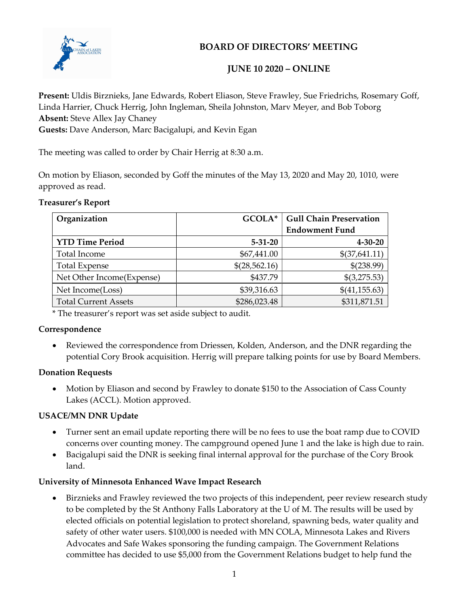

## BOARD OF DIRECTORS' MEETING

## JUNE 10 2020 – ONLINE

Present: Uldis Birznieks, Jane Edwards, Robert Eliason, Steve Frawley, Sue Friedrichs, Rosemary Goff, Linda Harrier, Chuck Herrig, John Ingleman, Sheila Johnston, Marv Meyer, and Bob Toborg Absent: Steve Allex Jay Chaney

Guests: Dave Anderson, Marc Bacigalupi, and Kevin Egan

The meeting was called to order by Chair Herrig at 8:30 a.m.

On motion by Eliason, seconded by Goff the minutes of the May 13, 2020 and May 20, 1010, were approved as read.

| <b>Treasurer's Report</b> |
|---------------------------|
|---------------------------|

| Organization                | GCOLA*        | <b>Gull Chain Preservation</b> |
|-----------------------------|---------------|--------------------------------|
|                             |               | <b>Endowment Fund</b>          |
| <b>YTD Time Period</b>      | $5 - 31 - 20$ | $4 - 30 - 20$                  |
| Total Income                | \$67,441.00   | \$(37,641.11)                  |
| <b>Total Expense</b>        | \$(28,562.16) | \$(238.99)                     |
| Net Other Income (Expense)  | \$437.79      | \$(3,275.53)                   |
| Net Income(Loss)            | \$39,316.63   | \$(41, 155.63)                 |
| <b>Total Current Assets</b> | \$286,023.48  | \$311,871.51                   |

\* The treasurer's report was set aside subject to audit.

## Correspondence

 Reviewed the correspondence from Driessen, Kolden, Anderson, and the DNR regarding the potential Cory Brook acquisition. Herrig will prepare talking points for use by Board Members.

## Donation Requests

• Motion by Eliason and second by Frawley to donate \$150 to the Association of Cass County Lakes (ACCL). Motion approved.

## USACE/MN DNR Update

- Turner sent an email update reporting there will be no fees to use the boat ramp due to COVID concerns over counting money. The campground opened June 1 and the lake is high due to rain.
- Bacigalupi said the DNR is seeking final internal approval for the purchase of the Cory Brook land.

## University of Minnesota Enhanced Wave Impact Research

 Birznieks and Frawley reviewed the two projects of this independent, peer review research study to be completed by the St Anthony Falls Laboratory at the U of M. The results will be used by elected officials on potential legislation to protect shoreland, spawning beds, water quality and safety of other water users. \$100,000 is needed with MN COLA, Minnesota Lakes and Rivers Advocates and Safe Wakes sponsoring the funding campaign. The Government Relations committee has decided to use \$5,000 from the Government Relations budget to help fund the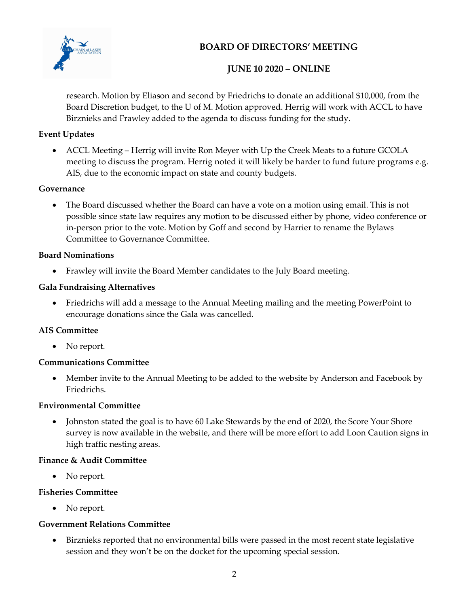

# BOARD OF DIRECTORS' MEETING

## JUNE 10 2020 – ONLINE

research. Motion by Eliason and second by Friedrichs to donate an additional \$10,000, from the Board Discretion budget, to the U of M. Motion approved. Herrig will work with ACCL to have Birznieks and Frawley added to the agenda to discuss funding for the study.

### Event Updates

 ACCL Meeting – Herrig will invite Ron Meyer with Up the Creek Meats to a future GCOLA meeting to discuss the program. Herrig noted it will likely be harder to fund future programs e.g. AIS, due to the economic impact on state and county budgets.

#### Governance

 The Board discussed whether the Board can have a vote on a motion using email. This is not possible since state law requires any motion to be discussed either by phone, video conference or in-person prior to the vote. Motion by Goff and second by Harrier to rename the Bylaws Committee to Governance Committee.

### Board Nominations

Frawley will invite the Board Member candidates to the July Board meeting.

### Gala Fundraising Alternatives

 Friedrichs will add a message to the Annual Meeting mailing and the meeting PowerPoint to encourage donations since the Gala was cancelled.

#### AIS Committee

• No report.

#### Communications Committee

 Member invite to the Annual Meeting to be added to the website by Anderson and Facebook by Friedrichs.

#### Environmental Committee

• Johnston stated the goal is to have 60 Lake Stewards by the end of 2020, the Score Your Shore survey is now available in the website, and there will be more effort to add Loon Caution signs in high traffic nesting areas.

#### Finance & Audit Committee

• No report.

#### Fisheries Committee

• No report.

## Government Relations Committee

 Birznieks reported that no environmental bills were passed in the most recent state legislative session and they won't be on the docket for the upcoming special session.